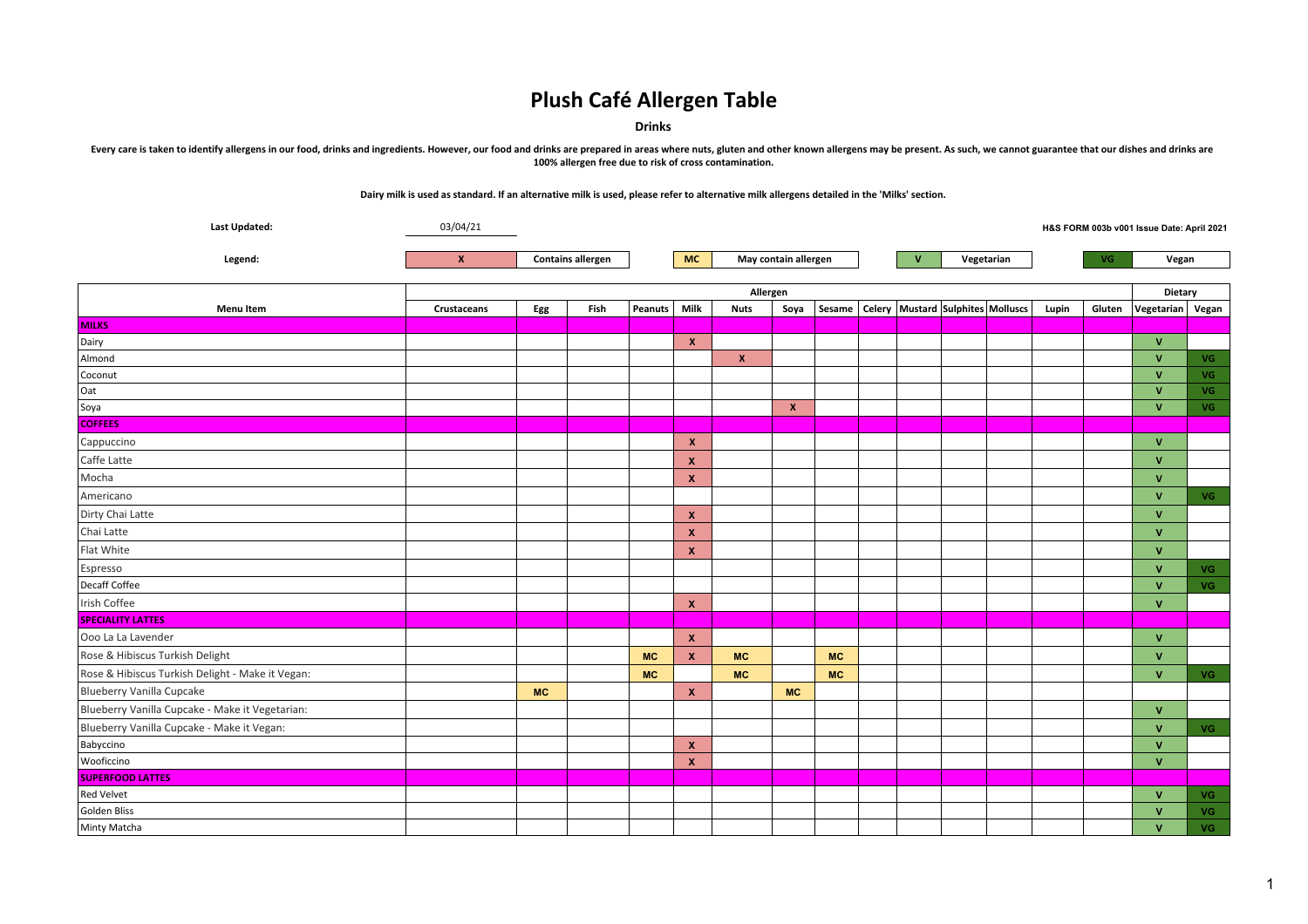**Drinks**

Every care is taken to identify allergens in our food, drinks and ingredients. However, our food and drinks are prepared in areas where nuts, gluten and other known allergens may be present. As such, we cannot guarantee th **100% allergen free due to risk of cross contamination.**

| <b>Last Updated:</b>                             | 03/04/21<br>H&S FORM 003b v001 Issue Date: April 2021 |           |                          |           |              |                      |                    |                            |  |  |  |                                                  |       |        |                               |           |
|--------------------------------------------------|-------------------------------------------------------|-----------|--------------------------|-----------|--------------|----------------------|--------------------|----------------------------|--|--|--|--------------------------------------------------|-------|--------|-------------------------------|-----------|
| Legend:                                          | $\mathbf{x}$                                          |           | <b>Contains allergen</b> |           | <b>MC</b>    | May contain allergen |                    | $\mathbf{v}$<br>Vegetarian |  |  |  |                                                  | VG    | Vegan  |                               |           |
|                                                  |                                                       |           |                          |           |              |                      |                    |                            |  |  |  |                                                  |       |        |                               |           |
| <b>Menu Item</b>                                 | Crustaceans                                           | Egg       | Fish                     | Peanuts   | Milk         | <b>Nuts</b>          | Allergen<br>Soya   |                            |  |  |  | Sesame   Celery   Mustard   Sulphites   Molluscs | Lupin | Gluten | Dietary<br>Vegetarian   Vegan |           |
| <b>MILKS</b>                                     |                                                       |           |                          |           |              |                      |                    |                            |  |  |  |                                                  |       |        |                               |           |
| Dairy                                            |                                                       |           |                          |           | $\mathbf{x}$ |                      |                    |                            |  |  |  |                                                  |       |        | $\mathbf{v}$                  |           |
| Almond                                           |                                                       |           |                          |           |              | $\pmb{\mathsf{x}}$   |                    |                            |  |  |  |                                                  |       |        | $\mathbf{V}$                  | <b>VG</b> |
| Coconut                                          |                                                       |           |                          |           |              |                      |                    |                            |  |  |  |                                                  |       |        | $\mathsf{V}$                  | <b>VG</b> |
| Oat                                              |                                                       |           |                          |           |              |                      |                    |                            |  |  |  |                                                  |       |        | $\mathsf{V}$                  | <b>VG</b> |
| Soya                                             |                                                       |           |                          |           |              |                      | $\pmb{\mathsf{x}}$ |                            |  |  |  |                                                  |       |        | $\mathbf{V}$                  | <b>VG</b> |
| <b>COFFEES</b>                                   |                                                       |           |                          |           |              |                      |                    |                            |  |  |  |                                                  |       |        |                               |           |
| Cappuccino                                       |                                                       |           |                          |           | $\mathbf{x}$ |                      |                    |                            |  |  |  |                                                  |       |        | $\mathbf{v}$                  |           |
| Caffe Latte                                      |                                                       |           |                          |           | $\mathbf{x}$ |                      |                    |                            |  |  |  |                                                  |       |        | $\mathbf{V}$                  |           |
| Mocha                                            |                                                       |           |                          |           | $\mathbf{x}$ |                      |                    |                            |  |  |  |                                                  |       |        | $\mathbf{v}$                  |           |
| Americano                                        |                                                       |           |                          |           |              |                      |                    |                            |  |  |  |                                                  |       |        | $\mathbf{v}$                  | <b>VG</b> |
| Dirty Chai Latte                                 |                                                       |           |                          |           | $\mathbf{x}$ |                      |                    |                            |  |  |  |                                                  |       |        | $\mathbf{V}$                  |           |
| Chai Latte                                       |                                                       |           |                          |           | $\mathbf{x}$ |                      |                    |                            |  |  |  |                                                  |       |        | $\mathbf{V}$                  |           |
| Flat White                                       |                                                       |           |                          |           | $\mathbf{x}$ |                      |                    |                            |  |  |  |                                                  |       |        | $\mathbf{V}$                  |           |
| Espresso                                         |                                                       |           |                          |           |              |                      |                    |                            |  |  |  |                                                  |       |        | $\mathbf{v}$                  | <b>VG</b> |
| Decaff Coffee                                    |                                                       |           |                          |           |              |                      |                    |                            |  |  |  |                                                  |       |        | $\mathbf{V}$                  | <b>VG</b> |
| Irish Coffee                                     |                                                       |           |                          |           | $\mathbf{x}$ |                      |                    |                            |  |  |  |                                                  |       |        | $\mathbf{V}$                  |           |
| <b>SPECIALITY LATTES</b>                         |                                                       |           |                          |           |              |                      |                    |                            |  |  |  |                                                  |       |        |                               |           |
| Ooo La La Lavender                               |                                                       |           |                          |           | $\mathbf{x}$ |                      |                    |                            |  |  |  |                                                  |       |        | $\mathbf{v}$                  |           |
| Rose & Hibiscus Turkish Delight                  |                                                       |           |                          | <b>MC</b> | $\mathbf{x}$ | <b>MC</b>            |                    | <b>MC</b>                  |  |  |  |                                                  |       |        | $\mathbf{v}$                  |           |
| Rose & Hibiscus Turkish Delight - Make it Vegan: |                                                       |           |                          | <b>MC</b> |              | <b>MC</b>            |                    | <b>MC</b>                  |  |  |  |                                                  |       |        | $\mathbf{V}$                  | VG.       |
| Blueberry Vanilla Cupcake                        |                                                       | <b>MC</b> |                          |           | $\mathbf{x}$ |                      | <b>MC</b>          |                            |  |  |  |                                                  |       |        |                               |           |
| Blueberry Vanilla Cupcake - Make it Vegetarian:  |                                                       |           |                          |           |              |                      |                    |                            |  |  |  |                                                  |       |        | $\mathbf{V}$                  |           |
| Blueberry Vanilla Cupcake - Make it Vegan:       |                                                       |           |                          |           |              |                      |                    |                            |  |  |  |                                                  |       |        | $\mathbf{v}$                  | <b>VG</b> |
| Babyccino                                        |                                                       |           |                          |           | $\mathbf{x}$ |                      |                    |                            |  |  |  |                                                  |       |        | $\mathbf{V}$                  |           |
| Wooficcino                                       |                                                       |           |                          |           | $\mathbf{x}$ |                      |                    |                            |  |  |  |                                                  |       |        | $\mathbf{V}$                  |           |
| <b>SUPERFOOD LATTES</b>                          |                                                       |           |                          |           |              |                      |                    |                            |  |  |  |                                                  |       |        |                               |           |
| <b>Red Velvet</b>                                |                                                       |           |                          |           |              |                      |                    |                            |  |  |  |                                                  |       |        | $\mathbf{v}$                  | VG.       |
| Golden Bliss                                     |                                                       |           |                          |           |              |                      |                    |                            |  |  |  |                                                  |       |        | $\mathbf{v}$                  | <b>VG</b> |
| Minty Matcha                                     |                                                       |           |                          |           |              |                      |                    |                            |  |  |  |                                                  |       |        | $\mathbf{v}$                  | VG.       |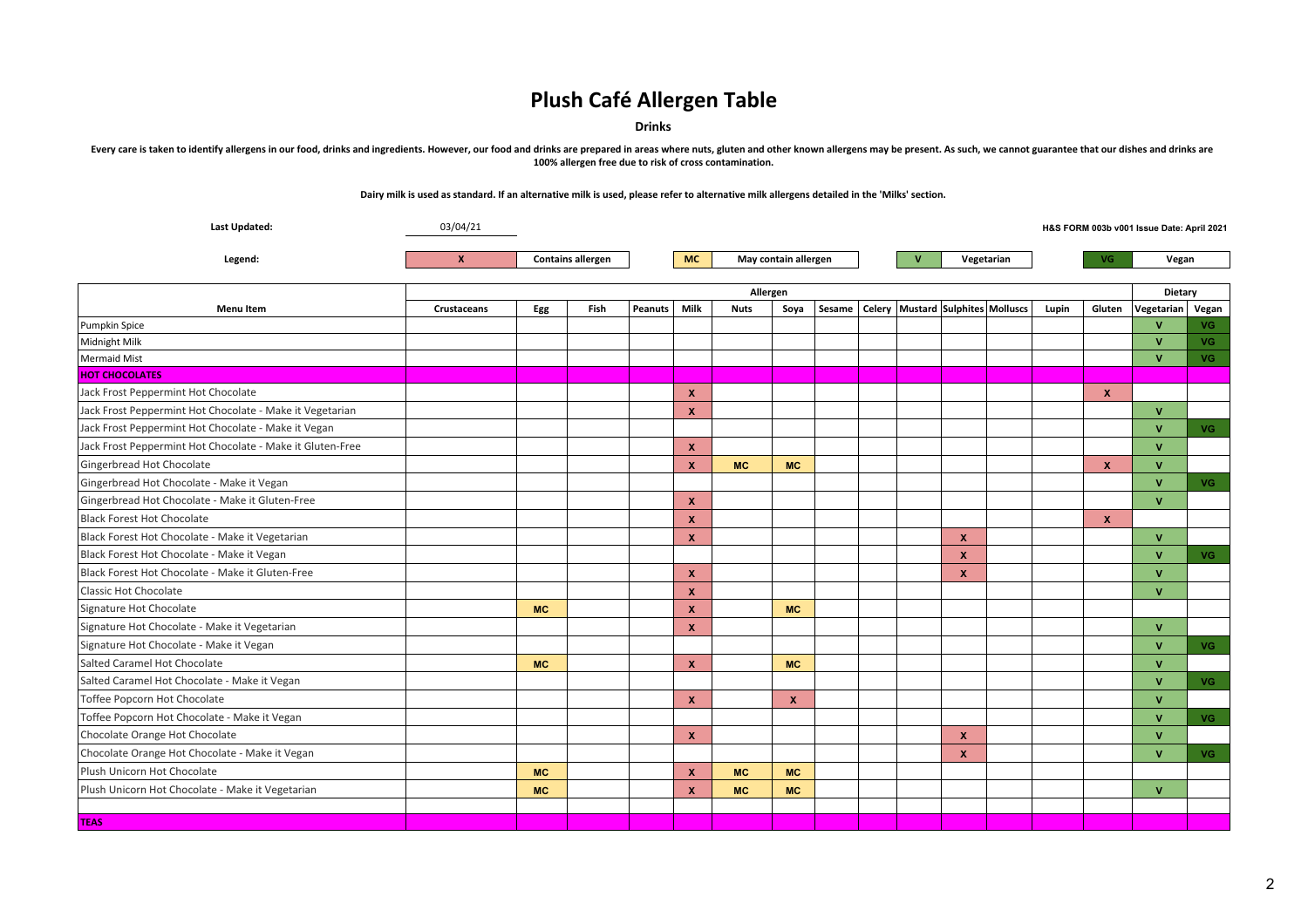**Drinks**

Every care is taken to identify allergens in our food, drinks and ingredients. However, our food and drinks are prepared in areas where nuts, gluten and other known allergens may be present. As such, we cannot guarantee th **100% allergen free due to risk of cross contamination.**

| <b>Last Updated:</b>                                      | 03/04/21           |                        |                          |  |                  |             |                      |        |  |              |                                   |       |                  | H&S FORM 003b v001 Issue Date: April 2021 |           |
|-----------------------------------------------------------|--------------------|------------------------|--------------------------|--|------------------|-------------|----------------------|--------|--|--------------|-----------------------------------|-------|------------------|-------------------------------------------|-----------|
| Legend:                                                   | X                  |                        | <b>Contains allergen</b> |  | <b>MC</b>        |             | May contain allergen |        |  | $\mathbf{v}$ | Vegetarian                        | VG.   |                  | Vegan                                     |           |
|                                                           |                    |                        |                          |  |                  | Allergen    |                      |        |  |              |                                   |       |                  | Dietary                                   |           |
| <b>Menu Item</b>                                          | <b>Crustaceans</b> | Fish<br>Egg<br>Peanuts |                          |  | Milk             | <b>Nuts</b> | Soya                 | Sesame |  |              | Celery Mustard Sulphites Molluscs | Lupin | Gluten           | Vegetarian Vegan                          |           |
| Pumpkin Spice                                             |                    |                        |                          |  |                  |             |                      |        |  |              |                                   |       |                  | V                                         | VG.       |
| Midnight Milk                                             |                    |                        |                          |  |                  |             |                      |        |  |              |                                   |       |                  | v                                         | <b>VG</b> |
| Mermaid Mist                                              |                    |                        |                          |  |                  |             |                      |        |  |              |                                   |       |                  | $\mathbf{v}$                              | VG .      |
| <b>HOT CHOCOLATES</b>                                     |                    |                        |                          |  |                  |             |                      |        |  |              |                                   |       |                  |                                           |           |
| Jack Frost Peppermint Hot Chocolate                       |                    |                        |                          |  | $\boldsymbol{x}$ |             |                      |        |  |              |                                   |       | $\boldsymbol{x}$ |                                           |           |
| Jack Frost Peppermint Hot Chocolate - Make it Vegetarian  |                    |                        |                          |  | $\mathbf{x}$     |             |                      |        |  |              |                                   |       |                  | V                                         |           |
| Jack Frost Peppermint Hot Chocolate - Make it Vegan       |                    |                        |                          |  |                  |             |                      |        |  |              |                                   |       |                  | <b>V</b>                                  | VG .      |
| Jack Frost Peppermint Hot Chocolate - Make it Gluten-Free |                    |                        |                          |  | $\mathbf{x}$     |             |                      |        |  |              |                                   |       |                  | V                                         |           |
| Gingerbread Hot Chocolate                                 |                    |                        |                          |  | $\mathbf{x}$     | <b>MC</b>   | <b>MC</b>            |        |  |              |                                   |       | $\mathbf{x}$     | V                                         |           |
| Gingerbread Hot Chocolate - Make it Vegan                 |                    |                        |                          |  |                  |             |                      |        |  |              |                                   |       |                  | V                                         | VG .      |
| Gingerbread Hot Chocolate - Make it Gluten-Free           |                    |                        |                          |  | $\mathbf{x}$     |             |                      |        |  |              |                                   |       |                  | V                                         |           |
| <b>Black Forest Hot Chocolate</b>                         |                    |                        |                          |  | $\mathbf{x}$     |             |                      |        |  |              |                                   |       | $\mathbf{x}$     |                                           |           |
| Black Forest Hot Chocolate - Make it Vegetarian           |                    |                        |                          |  | $\mathbf{x}$     |             |                      |        |  |              | $\boldsymbol{x}$                  |       |                  | V                                         |           |
| Black Forest Hot Chocolate - Make it Vegan                |                    |                        |                          |  |                  |             |                      |        |  |              | $\mathbf x$                       |       |                  | V                                         | VG .      |
| Black Forest Hot Chocolate - Make it Gluten-Free          |                    |                        |                          |  | $\boldsymbol{x}$ |             |                      |        |  |              | X                                 |       |                  | V                                         |           |
| <b>Classic Hot Chocolate</b>                              |                    |                        |                          |  | $\mathbf{x}$     |             |                      |        |  |              |                                   |       |                  | V                                         |           |
| Signature Hot Chocolate                                   |                    | <b>MC</b>              |                          |  | $\mathbf{x}$     |             | <b>MC</b>            |        |  |              |                                   |       |                  |                                           |           |
| Signature Hot Chocolate - Make it Vegetarian              |                    |                        |                          |  | $\mathbf{x}$     |             |                      |        |  |              |                                   |       |                  | V                                         |           |
| Signature Hot Chocolate - Make it Vegan                   |                    |                        |                          |  |                  |             |                      |        |  |              |                                   |       |                  | V                                         | VG .      |
| Salted Caramel Hot Chocolate                              |                    | <b>MC</b>              |                          |  | $\mathbf{x}$     |             | <b>MC</b>            |        |  |              |                                   |       |                  | V                                         |           |
| Salted Caramel Hot Chocolate - Make it Vegan              |                    |                        |                          |  |                  |             |                      |        |  |              |                                   |       |                  | V                                         | VG -      |
| Toffee Popcorn Hot Chocolate                              |                    |                        |                          |  | $\mathbf{x}$     |             | $\mathbf{x}$         |        |  |              |                                   |       |                  | V                                         |           |
| Toffee Popcorn Hot Chocolate - Make it Vegan              |                    |                        |                          |  |                  |             |                      |        |  |              |                                   |       |                  | V                                         | VG .      |
| Chocolate Orange Hot Chocolate                            |                    |                        |                          |  | $\mathbf{x}$     |             |                      |        |  |              | $\boldsymbol{x}$                  |       |                  | V                                         |           |
| Chocolate Orange Hot Chocolate - Make it Vegan            |                    |                        |                          |  |                  |             |                      |        |  |              | X                                 |       |                  | V                                         | VG .      |
| Plush Unicorn Hot Chocolate                               |                    | <b>MC</b>              |                          |  | $\mathbf{x}$     | <b>MC</b>   | <b>MC</b>            |        |  |              |                                   |       |                  |                                           |           |
| Plush Unicorn Hot Chocolate - Make it Vegetarian          |                    | <b>MC</b>              |                          |  | $\mathbf{x}$     | <b>MC</b>   | <b>MC</b>            |        |  |              |                                   |       |                  | $\mathbf{V}$                              |           |
|                                                           |                    |                        |                          |  |                  |             |                      |        |  |              |                                   |       |                  |                                           |           |
| <b>TEAS</b>                                               |                    |                        |                          |  |                  |             |                      |        |  |              |                                   |       |                  |                                           |           |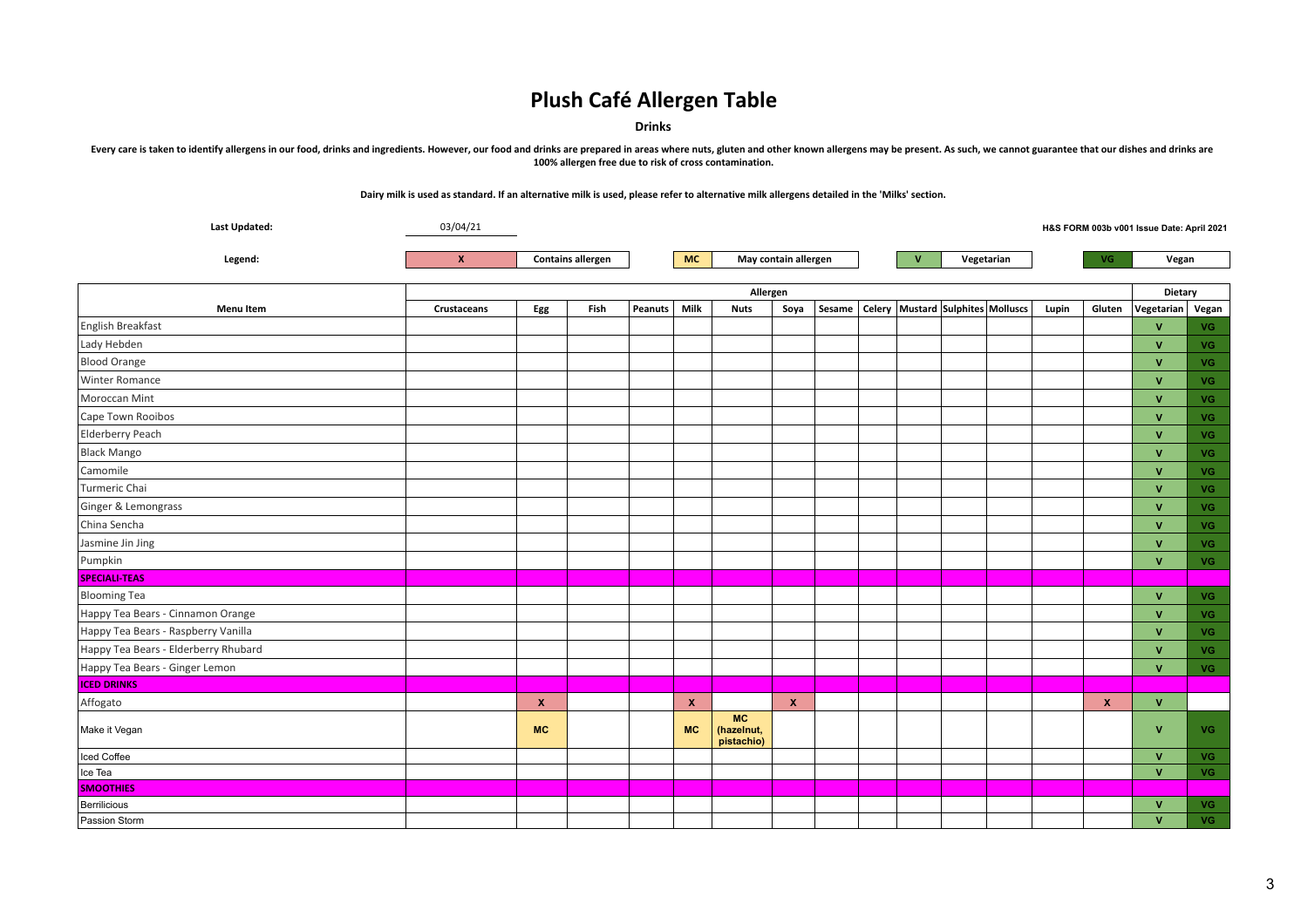**Drinks**

Every care is taken to identify allergens in our food, drinks and ingredients. However, our food and drinks are prepared in areas where nuts, gluten and other known allergens may be present. As such, we cannot guarantee th **100% allergen free due to risk of cross contamination.**

| Last Updated:                        | 03/04/21    |                          |      |                |              |                                       |              |  |  |              |                                                  |       |                  | H&S FORM 003b v001 Issue Date: April 2021 |           |  |
|--------------------------------------|-------------|--------------------------|------|----------------|--------------|---------------------------------------|--------------|--|--|--------------|--------------------------------------------------|-------|------------------|-------------------------------------------|-----------|--|
| Legend:                              | X           | <b>Contains allergen</b> |      |                | <b>MC</b>    | May contain allergen                  |              |  |  | $\mathbf{v}$ | Vegetarian                                       |       | VG.              | Vegan                                     |           |  |
|                                      |             |                          |      |                |              |                                       |              |  |  |              |                                                  |       |                  |                                           |           |  |
|                                      |             |                          |      |                |              | Allergen                              |              |  |  |              |                                                  |       |                  |                                           | Dietary   |  |
| <b>Menu Item</b>                     | Crustaceans | Egg                      | Fish | <b>Peanuts</b> | Milk         | <b>Nuts</b>                           | Soya         |  |  |              | Sesame   Celery   Mustard   Sulphites   Molluscs | Lupin | Gluten           | Vegetarian   Vegan                        |           |  |
| English Breakfast                    |             |                          |      |                |              |                                       |              |  |  |              |                                                  |       |                  | $\mathbf{V}$                              | VG.       |  |
| Lady Hebden                          |             |                          |      |                |              |                                       |              |  |  |              |                                                  |       |                  | $\mathbf{V}$                              | <b>VG</b> |  |
| <b>Blood Orange</b>                  |             |                          |      |                |              |                                       |              |  |  |              |                                                  |       |                  | $\mathbf{V}$                              | <b>VG</b> |  |
| <b>Winter Romance</b>                |             |                          |      |                |              |                                       |              |  |  |              |                                                  |       |                  | $\mathbf{V}$                              | <b>VG</b> |  |
| Moroccan Mint                        |             |                          |      |                |              |                                       |              |  |  |              |                                                  |       |                  | $\mathbf{V}$                              | <b>VG</b> |  |
| Cape Town Rooibos                    |             |                          |      |                |              |                                       |              |  |  |              |                                                  |       |                  | $\mathbf{V}$                              | <b>VG</b> |  |
| Elderberry Peach                     |             |                          |      |                |              |                                       |              |  |  |              |                                                  |       |                  | $\mathbf{V}$                              | <b>VG</b> |  |
| <b>Black Mango</b>                   |             |                          |      |                |              |                                       |              |  |  |              |                                                  |       |                  | $\mathbf{V}$                              | VG.       |  |
| Camomile                             |             |                          |      |                |              |                                       |              |  |  |              |                                                  |       |                  | $\mathbf{v}$                              | <b>VG</b> |  |
| Turmeric Chai                        |             |                          |      |                |              |                                       |              |  |  |              |                                                  |       |                  | $\mathbf{V}$                              | <b>VG</b> |  |
| Ginger & Lemongrass                  |             |                          |      |                |              |                                       |              |  |  |              |                                                  |       |                  | $\mathbf{V}$                              | <b>VG</b> |  |
| China Sencha                         |             |                          |      |                |              |                                       |              |  |  |              |                                                  |       |                  | $\mathbf{V}$                              | <b>VG</b> |  |
| Jasmine Jin Jing                     |             |                          |      |                |              |                                       |              |  |  |              |                                                  |       |                  | $\mathbf{V}$                              | <b>VG</b> |  |
| Pumpkin                              |             |                          |      |                |              |                                       |              |  |  |              |                                                  |       |                  | $\mathbf V$                               | VG.       |  |
| <b>SPECIALI-TEAS</b>                 |             |                          |      |                |              |                                       |              |  |  |              |                                                  |       |                  |                                           |           |  |
| <b>Blooming Tea</b>                  |             |                          |      |                |              |                                       |              |  |  |              |                                                  |       |                  | $\mathbf{V}$                              | VG.       |  |
| Happy Tea Bears - Cinnamon Orange    |             |                          |      |                |              |                                       |              |  |  |              |                                                  |       |                  | $\mathbf{V}$                              | <b>VG</b> |  |
| Happy Tea Bears - Raspberry Vanilla  |             |                          |      |                |              |                                       |              |  |  |              |                                                  |       |                  | v                                         | <b>VG</b> |  |
| Happy Tea Bears - Elderberry Rhubard |             |                          |      |                |              |                                       |              |  |  |              |                                                  |       |                  | $\mathbf{V}$                              | VG.       |  |
| Happy Tea Bears - Ginger Lemon       |             |                          |      |                |              |                                       |              |  |  |              |                                                  |       |                  | $\mathbf{V}$                              | VG .      |  |
| <b>ICED DRINKS</b>                   |             |                          |      |                |              |                                       |              |  |  |              |                                                  |       |                  |                                           |           |  |
| Affogato                             |             | $\pmb{\chi}$             |      |                | $\mathbf{x}$ |                                       | $\mathbf{x}$ |  |  |              |                                                  |       | $\boldsymbol{x}$ | $\mathbf{V}$                              |           |  |
| Make it Vegan                        |             | <b>MC</b>                |      |                | <b>MC</b>    | <b>MC</b><br>(hazelnut,<br>pistachio) |              |  |  |              |                                                  |       |                  | V                                         | <b>VG</b> |  |
| Iced Coffee                          |             |                          |      |                |              |                                       |              |  |  |              |                                                  |       |                  | $\mathbf{V}$                              | VG.       |  |
| Ice Tea                              |             |                          |      |                |              |                                       |              |  |  |              |                                                  |       |                  | $\mathbf{V}$                              | VG        |  |
| <b>SMOOTHIES</b>                     |             |                          |      |                |              |                                       |              |  |  |              |                                                  |       |                  |                                           |           |  |
| Berrilicious                         |             |                          |      |                |              |                                       |              |  |  |              |                                                  |       |                  | v                                         | <b>VG</b> |  |
| Passion Storm                        |             |                          |      |                |              |                                       |              |  |  |              |                                                  |       |                  | $\mathbf{v}$                              | <b>VG</b> |  |